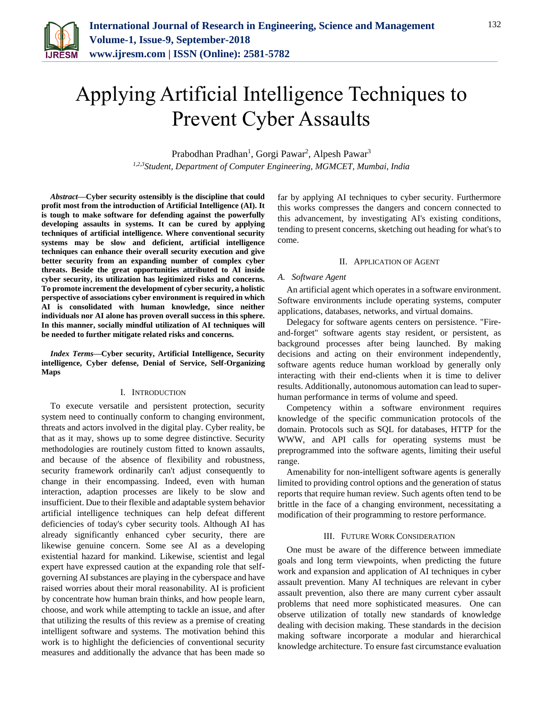

# Applying Artificial Intelligence Techniques to Prevent Cyber Assaults

Prabodhan Pradhan<sup>1</sup>, Gorgi Pawar<sup>2</sup>, Alpesh Pawar<sup>3</sup> *1,2,3Student, Department of Computer Engineering, MGMCET, Mumbai, India*

*Abstract***—Cyber security ostensibly is the discipline that could profit most from the introduction of Artificial Intelligence (AI). It is tough to make software for defending against the powerfully developing assaults in systems. It can be cured by applying techniques of artificial intelligence. Where conventional security systems may be slow and deficient, artificial intelligence techniques can enhance their overall security execution and give better security from an expanding number of complex cyber threats. Beside the great opportunities attributed to AI inside cyber security, its utilization has legitimized risks and concerns. To promote increment the development of cyber security, a holistic perspective of associations cyber environment is required in which AI is consolidated with human knowledge, since neither individuals nor AI alone has proven overall success in this sphere. In this manner, socially mindful utilization of AI techniques will be needed to further mitigate related risks and concerns.**

*Index Terms***—Cyber security, Artificial Intelligence, Security intelligence, Cyber defense, Denial of Service, Self-Organizing Maps**

#### I. INTRODUCTION

To execute versatile and persistent protection, security system need to continually conform to changing environment, threats and actors involved in the digital play. Cyber reality, be that as it may, shows up to some degree distinctive. Security methodologies are routinely custom fitted to known assaults, and because of the absence of flexibility and robustness, security framework ordinarily can't adjust consequently to change in their encompassing. Indeed, even with human interaction, adaption processes are likely to be slow and insufficient. Due to their flexible and adaptable system behavior artificial intelligence techniques can help defeat different deficiencies of today's cyber security tools. Although AI has already significantly enhanced cyber security, there are likewise genuine concern. Some see AI as a developing existential hazard for mankind. Likewise, scientist and legal expert have expressed caution at the expanding role that selfgoverning AI substances are playing in the cyberspace and have raised worries about their moral reasonability. AI is proficient by concentrate how human brain thinks, and how people learn, choose, and work while attempting to tackle an issue, and after that utilizing the results of this review as a premise of creating intelligent software and systems. The motivation behind this work is to highlight the deficiencies of conventional security measures and additionally the advance that has been made so

far by applying AI techniques to cyber security. Furthermore this works compresses the dangers and concern connected to this advancement, by investigating AI's existing conditions, tending to present concerns, sketching out heading for what's to come.

#### II. APPLICATION OF AGENT

### *A. Software Agent*

An artificial agent which operates in a software environment. Software environments include operating systems, computer applications, databases, networks, and virtual domains.

Delegacy for software agents centers on persistence. "Fireand-forget" software agents stay resident, or persistent, as background processes after being launched. By making decisions and acting on their environment independently, software agents reduce human workload by generally only interacting with their end-clients when it is time to deliver results. Additionally, autonomous automation can lead to superhuman performance in terms of volume and speed.

Competency within a software environment requires knowledge of the specific communication protocols of the domain. Protocols such as SQL for databases, HTTP for the WWW, and API calls for operating systems must be preprogrammed into the software agents, limiting their useful range.

Amenability for non-intelligent software agents is generally limited to providing control options and the generation of status reports that require human review. Such agents often tend to be brittle in the face of a changing environment, necessitating a modification of their programming to restore performance.

#### III. FUTURE WORK CONSIDERATION

One must be aware of the difference between immediate goals and long term viewpoints, when predicting the future work and expansion and application of AI techniques in cyber assault prevention. Many AI techniques are relevant in cyber assault prevention, also there are many current cyber assault problems that need more sophisticated measures. One can observe utilization of totally new standards of knowledge dealing with decision making. These standards in the decision making software incorporate a modular and hierarchical knowledge architecture. To ensure fast circumstance evaluation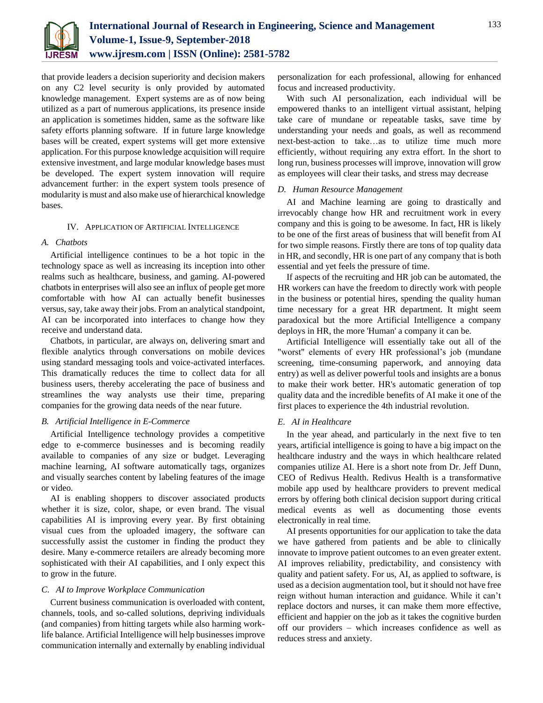

that provide leaders a decision superiority and decision makers on any C2 level security is only provided by automated knowledge management. Expert systems are as of now being utilized as a part of numerous applications, its presence inside an application is sometimes hidden, same as the software like safety efforts planning software. If in future large knowledge bases will be created, expert systems will get more extensive application. For this purpose knowledge acquisition will require extensive investment, and large modular knowledge bases must be developed. The expert system innovation will require advancement further: in the expert system tools presence of modularity is must and also make use of hierarchical knowledge bases.

#### IV. APPLICATION OF ARTIFICIAL INTELLIGENCE

### *A. Chatbots*

Artificial intelligence continues to be a hot topic in the technology space as well as increasing its inception into other realms such as healthcare, business, and gaming. AI-powered chatbots in enterprises will also see an influx of people get more comfortable with how AI can actually benefit businesses versus, say, take away their jobs. From an analytical standpoint, AI can be incorporated into interfaces to change how they receive and understand data.

Chatbots, in particular, are always on, delivering smart and flexible analytics through conversations on mobile devices using standard messaging tools and voice-activated interfaces. This dramatically reduces the time to collect data for all business users, thereby accelerating the pace of business and streamlines the way analysts use their time, preparing companies for the growing data needs of the near future.

### *B. Artificial Intelligence in E-Commerce*

Artificial Intelligence technology provides a competitive edge to e-commerce businesses and is becoming readily available to companies of any size or budget. Leveraging machine learning, AI software automatically tags, organizes and visually searches content by labeling features of the image or video.

AI is enabling shoppers to discover associated products whether it is size, color, shape, or even brand. The visual capabilities AI is improving every year. By first obtaining visual cues from the uploaded imagery, the software can successfully assist the customer in finding the product they desire. Many e-commerce retailers are already becoming more sophisticated with their AI capabilities, and I only expect this to grow in the future.

## *C. AI to Improve Workplace Communication*

Current business communication is overloaded with content, channels, tools, and so-called solutions, depriving individuals (and companies) from hitting targets while also harming worklife balance. Artificial Intelligence will help businesses improve communication internally and externally by enabling individual personalization for each professional, allowing for enhanced focus and increased productivity.

With such AI personalization, each individual will be empowered thanks to an intelligent virtual assistant, helping take care of mundane or repeatable tasks, save time by understanding your needs and goals, as well as recommend next-best-action to take…as to utilize time much more efficiently, without requiring any extra effort. In the short to long run, business processes will improve, innovation will grow as employees will clear their tasks, and stress may decrease

#### *D. Human Resource Management*

AI and Machine learning are going to drastically and irrevocably change how HR and recruitment work in every company and this is going to be awesome. In fact, HR is likely to be one of the first areas of business that will benefit from AI for two simple reasons. Firstly there are tons of top quality data in HR, and secondly, HR is one part of any company that is both essential and yet feels the pressure of time.

If aspects of the recruiting and HR job can be automated, the HR workers can have the freedom to directly work with people in the business or potential hires, spending the quality human time necessary for a great HR department. It might seem paradoxical but the more Artificial Intelligence a company deploys in HR, the more 'Human' a company it can be.

Artificial Intelligence will essentially take out all of the "worst" elements of every HR professional's job (mundane screening, time-consuming paperwork, and annoying data entry) as well as deliver powerful tools and insights are a bonus to make their work better. HR's automatic generation of top quality data and the incredible benefits of AI make it one of the first places to experience the 4th industrial revolution.

## *E. AI in Healthcare*

In the year ahead, and particularly in the next five to ten years, artificial intelligence is going to have a big impact on the healthcare industry and the ways in which healthcare related companies utilize AI. Here is a short note from Dr. Jeff Dunn, CEO of Redivus Health. Redivus Health is a transformative mobile app used by healthcare providers to prevent medical errors by offering both clinical decision support during critical medical events as well as documenting those events electronically in real time.

AI presents opportunities for our application to take the data we have gathered from patients and be able to clinically innovate to improve patient outcomes to an even greater extent. AI improves reliability, predictability, and consistency with quality and patient safety. For us, AI, as applied to software, is used as a decision augmentation tool, but it should not have free reign without human interaction and guidance. While it can't replace doctors and nurses, it can make them more effective, efficient and happier on the job as it takes the cognitive burden off our providers – which increases confidence as well as reduces stress and anxiety.